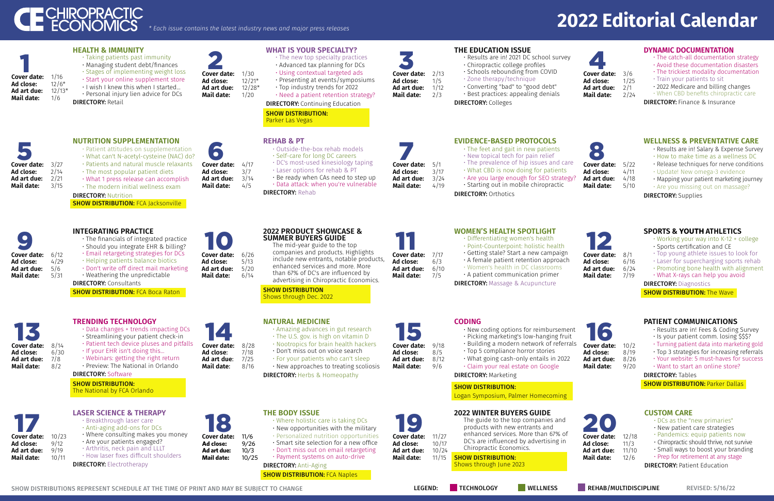

| Cover date: $1/16$<br>Ad close:<br>Ad art due:<br>Mail date:                        | $12/6*$<br>$12/13*$<br>1/6     | <b>HEALTH &amp; IMMUNITY</b><br>· Taking patients past immunity<br>· Managing student debt/finances<br>· Stages of implementing weight loss<br>· Start your online supplement store<br>· I wish I knew this when I started<br>· Personal injury lien advice for DCs<br><b>DIRECTORY: Retail</b>                                                                          | <b>Sec</b><br><b>Cover date:</b><br>Ad close:<br>Ad art due:<br>Mail date:       | 1/30<br>$12/21*$<br>$12/28*$<br>1/20 | <b>WHAT IS YOUR SPECIALTY?</b><br>$\cdot$ The new top specialty practices<br>· Advanced tax planning for DCs<br>· Using contextual targeted ads<br>· Presenting at events/symposiums<br>· Top industry trends for 2022<br>· Need a patient retention strategy?<br><b>DIRECTORY:</b> Continuing Education<br><b>SHOW DISTRIBUTION:</b><br>Parker Las Vegas     | Cover date:<br>Ad close:<br>Ad art due:<br>Mail date:                 | 2/13<br>1/5<br>1/12<br>2/3       | THE EDUCATION ISSUE<br>· Results are in! 2021 DC school survey<br>$\cdot$ Chiropractic college profiles<br>· Schools rebounding from COVID<br>$\cdot$ Zone therapy/technique<br>. Converting "bad" to "good debt"<br>· Best practices: appealing denials<br><b>DIRECTORY: Colleges</b>                                                                                                  | $\sqrt{2}$<br>Cover date:<br>Ad close:<br>Ad art due:<br>Mail date:                    | 3/6<br>1/25<br>2/1<br>2/24     | <b>DYNAMIC DOCUMENTATION</b><br>. The catch-all documentation strategy<br>. Avoid these documentation disasters<br>· The trickiest modality documentation<br>· Train your patients to sit<br>$\cdot$ 2022 Medicare and billing changes<br>· When CBD benefits chiropractic care<br><b>DIRECTORY:</b> Finance & Insurance                                                    |
|-------------------------------------------------------------------------------------|--------------------------------|--------------------------------------------------------------------------------------------------------------------------------------------------------------------------------------------------------------------------------------------------------------------------------------------------------------------------------------------------------------------------|----------------------------------------------------------------------------------|--------------------------------------|---------------------------------------------------------------------------------------------------------------------------------------------------------------------------------------------------------------------------------------------------------------------------------------------------------------------------------------------------------------|-----------------------------------------------------------------------|----------------------------------|-----------------------------------------------------------------------------------------------------------------------------------------------------------------------------------------------------------------------------------------------------------------------------------------------------------------------------------------------------------------------------------------|----------------------------------------------------------------------------------------|--------------------------------|-----------------------------------------------------------------------------------------------------------------------------------------------------------------------------------------------------------------------------------------------------------------------------------------------------------------------------------------------------------------------------|
| Cover date:<br>Ad close:<br>Ad art due:<br>Mail date:                               | 3/27<br>2/14<br>2/21<br>3/15   | <b>NUTRITION SUPPLEMENTATION</b><br>· Patient attitudes on supplementation<br>· What can't N-acetyl-cysteine (NAC) do?<br>· Patients and natural muscle relaxants<br>$\cdot$ The most popular patient diets<br>· What 1 press release can accomplish<br>· The modern initial wellness exam<br><b>DIRECTORY: Nutrition</b><br><b>SHOW DISTRIBUTION: FCA Jacksonville</b>  | 6<br><b>Cover date:</b><br>Ad close:<br>Ad art due:<br>Mail date:                | 4/17<br>3/7<br>3/14<br>4/5           | <b>REHAB &amp; PT</b><br>. Outside-the-box rehab models<br>· Self-care for long DC careers<br>$\cdot$ DC's most-used kinesiology taping<br>. Laser options for rehab & PT<br>· Be ready when CAs need to step up<br>· Data attack: when you're vulnerable<br><b>DIRECTORY: Rehab</b>                                                                          | Cover date: 5/1<br>Ad close:<br>Ad art due:<br>Mail date:             | 3/17<br>3/24<br>4/19             | <b>EVIDENCE-BASED PROTOCOLS</b><br>$\cdot$ The feet and gait in new patients<br>. New topical tech for pain relief<br>$\cdot$ The prevalence of hip issues and care<br>. What CBD is now doing for patients<br>· Are you large enough for SEO strategy?<br>· Starting out in mobile chiropractic<br><b>DIRECTORY: Orthotics</b>                                                         | $\bullet$<br>$\bullet$<br><b>Cover date:</b><br>Ad close:<br>Ad art due:<br>Mail date: | 5/22<br>4/11<br>4/18<br>5/10   | <b>WELLNESS &amp; PREVENTATIVE CARE</b><br>· Results are in! Salary & Expense Survey<br>. How to make time as a wellness DC<br>· Release techniques for nerve conditions<br>· Update! New omega-3 evidence<br>· Mapping your patient marketing journey<br>· Are you missing out on massage?<br><b>DIRECTORY:</b> Supplies                                                   |
| $\mathbf{C}$<br><b>Cover date:</b><br>Ad close:<br>Ad art due:<br><b>Mail date:</b> | 6/12<br>4/29<br>5/6<br>5/31    | <b>INTEGRATING PRACTICE</b><br>$\cdot$ The financials of integrated practice<br>· Should you integrate EHR & billing?<br>· Email retargeting strategies for DCs<br>· Helping patients balance biotics<br>· Don't write off direct mail marketing<br>$\cdot$ Weathering the unpredictable<br><b>DIRECTORY: Consultants</b><br><b>SHOW DISTRIBUTION: FCA Boca Raton</b>    | <b>10</b><br><b>Cover date:</b><br>Ad close:<br>Ad art due:<br><b>Mail date:</b> | 6/26<br>5/13<br>5/20<br>6/14         | <b>2022 PRODUCT SHOWCASE &amp;</b><br><b>SUMMER BUYERS GUIDE</b><br>The mid-year guide to the top<br>companies and products. Highlights<br>include new entrants, notable products,<br>enhanced services and more. More<br>than 67% of DC's are influenced by<br>advertising in Chiropractic Economics.<br><b>SHOW DISTRIBUTION</b><br>Shows through Dec. 2022 | <b>Cover date:</b><br>Ad close:<br>Ad art due:<br>Mail date:          | 7/17<br>6/3<br>6/10<br>7/5       | <b>WOMEN'S HEALTH SPOTLIGHT</b><br>· Differentiating women's health<br>· Point-Counterpoint: holistic health<br>· Getting stale? Start a new campaign<br>$\cdot$ A female patient retention approach<br>· Women's health in DC classrooms<br>$\cdot$ A patient communication primer<br><b>DIRECTORY:</b> Massage & Acupuncture                                                          | $\mathbf{P}$<br><b>Cover date:</b><br>Ad close:<br>Ad art due:<br><b>Mail date:</b>    | 8/1<br>6/16<br>6/24<br>7/19    | <b>SPORTS &amp; YOUTH ATHLETICS</b><br>· Working your way into K-12 + college<br>· Sports certification and CE<br>· Top young athlete issues to look for<br>· Laser for supercharging sports rehab<br>· Promoting bone health with alignment<br>· What X-rays can help you avoid<br><b>DIRECTORY: Diagnostics</b><br><b>SHOW DISTRIBUTION: The Wave</b>                     |
| S<br><b>Cover date:</b><br>Ad close:<br>Ad art due:<br>Mail date:                   | 8/14<br>6/30<br>7/8<br>8/2     | <b>TRENDING TECHNOLOGY</b><br>· Data changes + trends impacting DCs<br>· Streamlining your patient check-in<br>· Patient tech device pluses and pitfalls<br>. If your EHR isn't doing this<br>$\cdot$ Webinars: getting the right return<br>· Preview: The National in Orlando<br><b>DIRECTORY: Software</b><br><b>SHOW DISTRIBUTION:</b><br>The National by FCA Orlando | 10<br><b>Cover date:</b><br>Ad close:<br>Ad art due:<br><b>Mail date:</b>        | 8/28<br>7/18<br>7/25<br>8/16         | <b>NATURAL MEDICINE</b><br>$\cdot$ Amazing advances in gut research<br>$\cdot$ The U.S. gov. is high on vitamin D<br>. Nootropics for brain health hackers<br>. Don't miss out on voice search<br>. For your patients who can't sleep<br>$\cdot$ New approaches to treating scoliosis<br><b>DIRECTORY: Herbs &amp; Homeopathy</b>                             | <b>Cover date:</b><br>Ad close:<br>Ad art due:<br>Mail date:          | 9/18<br>8/5<br>8/12<br>9/6       | <b>CODING</b><br>$\cdot$ New coding options for reimbursement<br>· Picking marketing's low-hanging fruit<br>· Building a modern network of referrals<br>$\cdot$ Top 5 compliance horror stories<br>$\cdot$ What going cash-only entails in 2022<br>· Claim your real estate on Google<br><b>DIRECTORY: Marketing</b><br><b>SHOW DISTRIBUTION:</b><br>Logan Symposium, Palmer Homecoming | 6<br><b>Cover date:</b><br>Ad close:<br>Ad art due:<br>Mail date:                      | 10/2<br>8/19<br>8/26<br>9/20   | <b>PATIENT COMMUNICATIONS</b><br>· Results are in! Fees & Coding Survey<br>$\cdot$ Is your patient comm. losing \$\$\$?<br>· Turning patient data into marketing gold<br>· Top 3 strategies for increasing referrals<br>· Your website: 5 must-haves for success<br>· Want to start an online store?<br><b>DIRECTORY: Tables</b><br><b>SHOW DISTRIBUTION: Parker Dallas</b> |
| Cover date:<br>Ad close:<br>Ad art due:<br>Mail date:                               | 10/23<br>9/12<br>9/19<br>10/11 | <b>LASER SCIENCE &amp; THERAPY</b><br>· Breakthrough laser care<br>. Anti-aging add-ons for DCs<br>. Where consulting makes you money<br>· Are your patients engaged?<br>· Arthritis, neck pain and LLLT<br>· How laser fixes difficult shoulders<br><b>DIRECTORY: Electrotherapy</b>                                                                                    | <b>[8]</b><br>Cover date:<br>Ad close:<br>Ad art due:<br>Mail date:              | 11/6<br>9/26<br>10/3<br>10/25        | <b>THE BODY ISSUE</b><br>$\cdot$ Where holistic care is taking DCs<br>$\cdot$ New opportunities with the military<br>· Personalized nutrition opportunities<br>· Smart site selection for a new office<br>• Don't miss out on email retargeting<br>· Payment systems on auto-drive<br><b>DIRECTORY: Anti-Aging</b><br><b>SHOW DISTRIBUTION: FCA Naples</b>    | $\mathbf{C}$<br>Cover date:<br>Ad close:<br>Ad art due:<br>Mail date: | 11/27<br>10/17<br>10/24<br>11/15 | <b>2022 WINTER BUYERS GUIDE</b><br>The guide to the top companies and<br>products with new entrants and<br>enhanced services. More than 67% of<br>DC's are influenced by advertising in<br>Chiropractic Economics.<br><b>SHOW DISTRIBUTION:</b><br>Shows through June 2023                                                                                                              | Cover date:<br>Ad close:<br>Ad art due:<br>Mail date:                                  | 12/18<br>11/3<br>11/10<br>12/6 | <b>CUSTOM CARE</b><br>. DCs as the "new primaries"<br>$\cdot$ New patient care strategies<br>$\cdot$ Pandemics: equip patients now<br>· Chiropractic should thrive, not survive<br>. Small ways to boost your branding<br>• Prep for retirement at any stage<br><b>DIRECTORY: Patient Education</b>                                                                         |

### *\* Each issue contains the latest industry news and major press releases* **2022 Editorial Calendar**

LEGEND: TECHNOLOGY WELLNESS REHAB/MULTIDISCIPLINE REVISED: 5/16/22

SHOW DISTRIBUTIONS REPRESENT SCHEDULE AT THE TIME OF PRINT AND MAY BE SUBJECT TO CHANGE